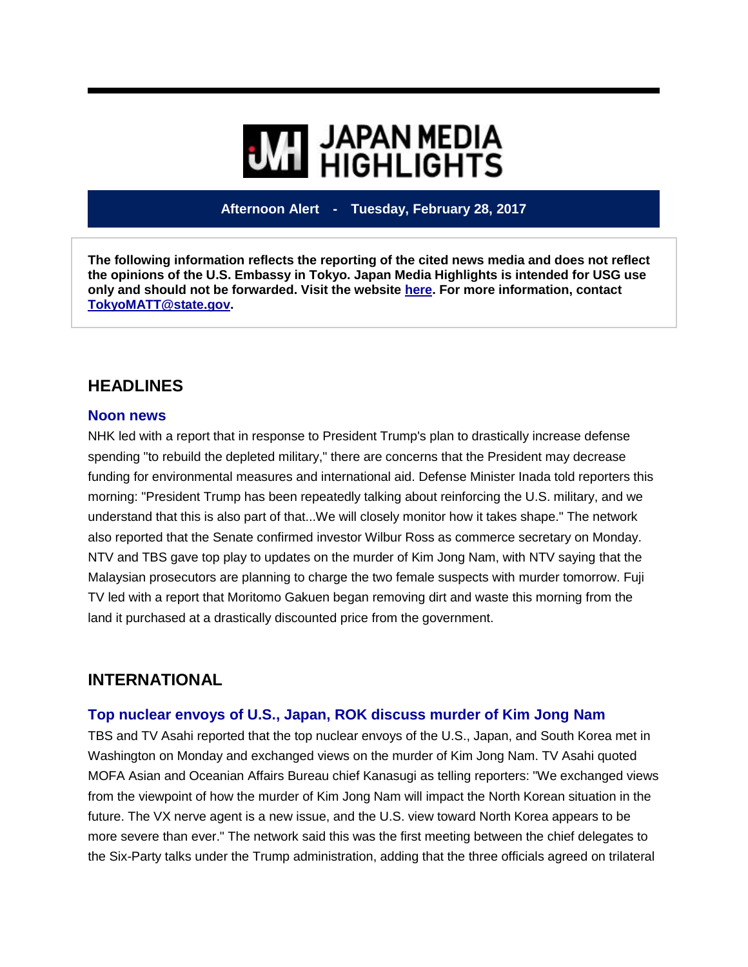# **WE HIGHLIGHTS**

**Afternoon Alert - Tuesday, February 28, 2017**

**The following information reflects the reporting of the cited news media and does not reflect the opinions of the U.S. Embassy in Tokyo. Japan Media Highlights is intended for USG use only and should not be forwarded. Visit the website [here.](https://jmh.usembassy.gov/) For more information, contact [TokyoMATT@state.gov.](mailto:TokyoMATT@state.gov)**

## **HEADLINES**

#### **Noon news**

NHK led with a report that in response to President Trump's plan to drastically increase defense spending "to rebuild the depleted military," there are concerns that the President may decrease funding for environmental measures and international aid. Defense Minister Inada told reporters this morning: "President Trump has been repeatedly talking about reinforcing the U.S. military, and we understand that this is also part of that...We will closely monitor how it takes shape." The network also reported that the Senate confirmed investor Wilbur Ross as commerce secretary on Monday. NTV and TBS gave top play to updates on the murder of Kim Jong Nam, with NTV saying that the Malaysian prosecutors are planning to charge the two female suspects with murder tomorrow. Fuji TV led with a report that Moritomo Gakuen began removing dirt and waste this morning from the land it purchased at a drastically discounted price from the government.

## **INTERNATIONAL**

#### **Top nuclear envoys of U.S., Japan, ROK discuss murder of Kim Jong Nam**

TBS and TV Asahi reported that the top nuclear envoys of the U.S., Japan, and South Korea met in Washington on Monday and exchanged views on the murder of Kim Jong Nam. TV Asahi quoted MOFA Asian and Oceanian Affairs Bureau chief Kanasugi as telling reporters: "We exchanged views from the viewpoint of how the murder of Kim Jong Nam will impact the North Korean situation in the future. The VX nerve agent is a new issue, and the U.S. view toward North Korea appears to be more severe than ever." The network said this was the first meeting between the chief delegates to the Six-Party talks under the Trump administration, adding that the three officials agreed on trilateral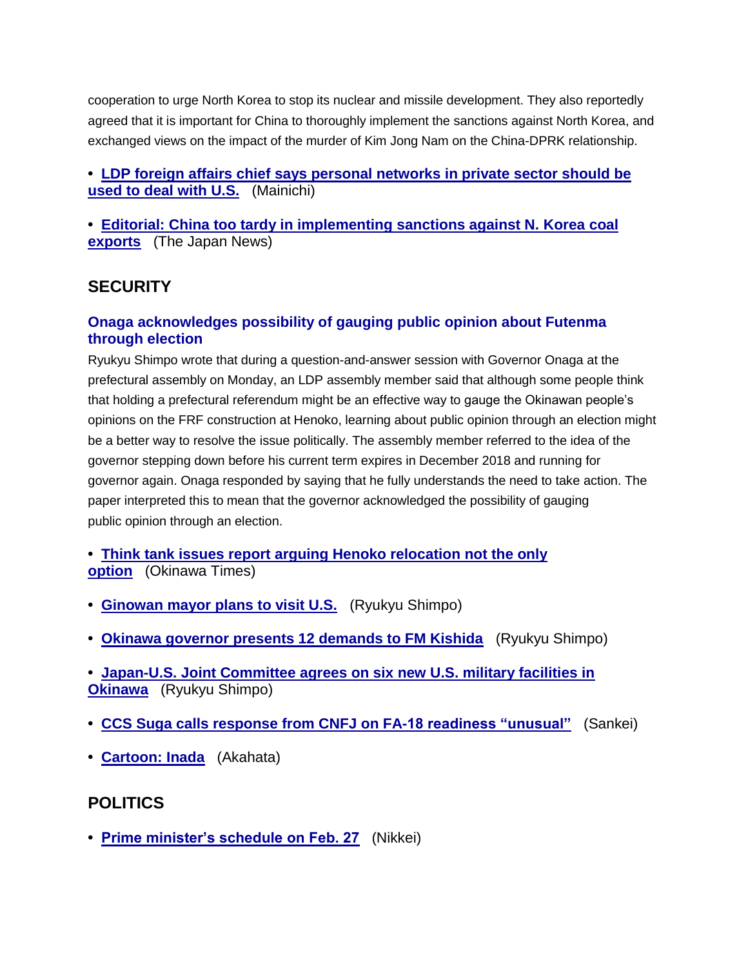cooperation to urge North Korea to stop its nuclear and missile development. They also reportedly agreed that it is important for China to thoroughly implement the sanctions against North Korea, and exchanged views on the impact of the murder of Kim Jong Nam on the China-DPRK relationship.

#### **• [LDP foreign affairs chief says personal networks in private sector should be](https://jmh.usembassy.gov/2017022816215/)  [used to deal with U.S.](https://jmh.usembassy.gov/2017022816215/)** (Mainichi)

**• [Editorial: China too tardy in implementing sanctions against N.](https://jmh.usembassy.gov/2017022816163/) Korea coal [exports](https://jmh.usembassy.gov/2017022816163/)** (The Japan News)

## **SECURITY**

#### **Onaga acknowledges possibility of gauging public opinion about Futenma through election**

Ryukyu Shimpo wrote that during a question-and-answer session with Governor Onaga at the prefectural assembly on Monday, an LDP assembly member said that although some people think that holding a prefectural referendum might be an effective way to gauge the Okinawan people's opinions on the FRF construction at Henoko, learning about public opinion through an election might be a better way to resolve the issue politically. The assembly member referred to the idea of the governor stepping down before his current term expires in December 2018 and running for governor again. Onaga responded by saying that he fully understands the need to take action. The paper interpreted this to mean that the governor acknowledged the possibility of gauging public opinion through an election.

**• [Think tank issues report arguing Henoko relocation not the only](https://jmh.usembassy.gov/2017022816193/)  [option](https://jmh.usembassy.gov/2017022816193/)** (Okinawa Times)

- **• [Ginowan mayor plans to visit U.S.](https://jmh.usembassy.gov/2017022816241/)** (Ryukyu Shimpo)
- **• [Okinawa governor presents 12 demands to FM Kishida](https://jmh.usembassy.gov/2017022816205/)** (Ryukyu Shimpo)
- **• [Japan-U.S. Joint Committee agrees on six new U.S. military facilities in](https://jmh.usembassy.gov/2017022816234/)  [Okinawa](https://jmh.usembassy.gov/2017022816234/)** (Ryukyu Shimpo)
- **• [CCS Suga calls response from CNFJ on FA-18 readiness "unusual"](https://jmh.usembassy.gov/2017022816172/)** (Sankei)
- **• [Cartoon: Inada](https://jmh.usembassy.gov/2017022816190/)** (Akahata)

## **POLITICS**

**• [Prime minister's schedule on Feb. 27](https://jmh.usembassy.gov/2017022816176/)** (Nikkei)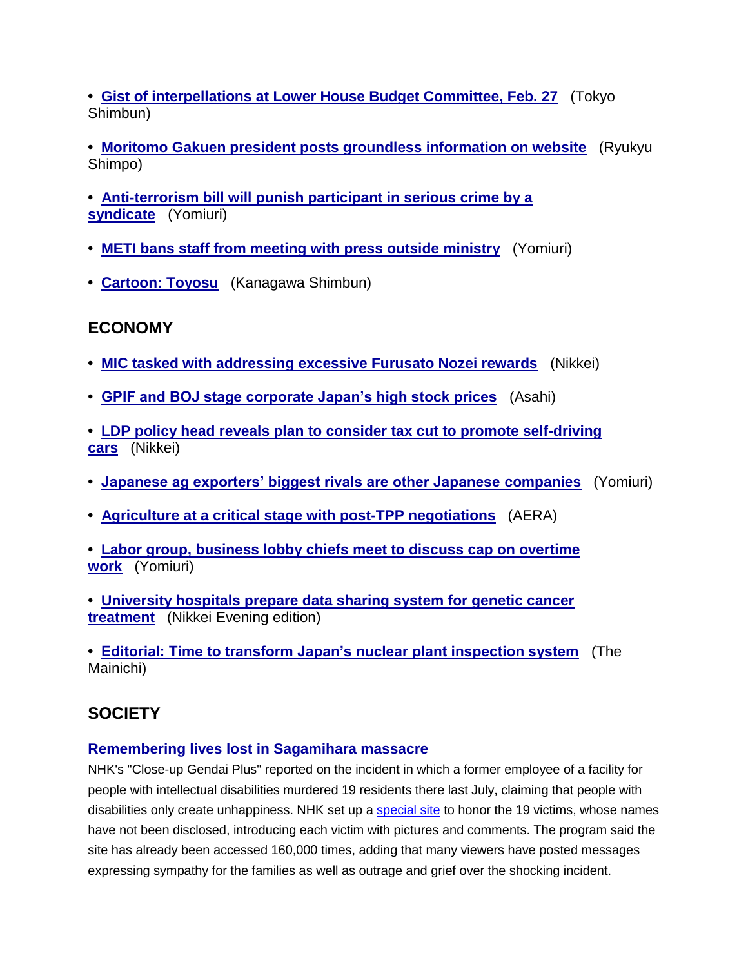**• [Gist of interpellations at Lower House Budget Committee, Feb. 27](https://jmh.usembassy.gov/2017022816174/)** (Tokyo Shimbun)

**• [Moritomo Gakuen president posts groundless information on website](https://jmh.usembassy.gov/2017022816197/)** (Ryukyu Shimpo)

**• [Anti-terrorism bill will punish participant in serious crime by a](https://jmh.usembassy.gov/2017022816220/)  [syndicate](https://jmh.usembassy.gov/2017022816220/)** (Yomiuri)

- **• [METI bans staff from meeting with press outside ministry](https://jmh.usembassy.gov/2017022816173/)** (Yomiuri)
- **• [Cartoon: Toyosu](https://jmh.usembassy.gov/2017022816189/)** (Kanagawa Shimbun)

## **ECONOMY**

- **• [MIC tasked with addressing excessive Furusato Nozei rewards](https://jmh.usembassy.gov/2017022816183/)** (Nikkei)
- **• [GPIF and BOJ stage corporate Japan's high stock prices](https://jmh.usembassy.gov/2017022816216/)** (Asahi)
- **• [LDP policy head reveals plan to consider tax cut to promote self-driving](https://jmh.usembassy.gov/2017022816226/)  [cars](https://jmh.usembassy.gov/2017022816226/)** (Nikkei)
- **• [Japanese ag exporters' biggest rivals are other Japanese companies](https://jmh.usembassy.gov/2017022816230/)** (Yomiuri)
- **• [Agriculture at a critical stage with post-TPP negotiations](https://jmh.usembassy.gov/2017022816181/)** (AERA)

**• [Labor group, business lobby chiefs meet to discuss cap on overtime](https://jmh.usembassy.gov/2017022816221/)  [work](https://jmh.usembassy.gov/2017022816221/)** (Yomiuri)

**• [University hospitals prepare data sharing system for genetic cancer](https://jmh.usembassy.gov/2017022816203/)  [treatment](https://jmh.usembassy.gov/2017022816203/)** (Nikkei Evening edition)

**• [Editorial: Time to transform Japan's nuclear plant inspection system](https://jmh.usembassy.gov/2017022816164/)** (The Mainichi)

# **SOCIETY**

## **Remembering lives lost in Sagamihara massacre**

NHK's "Close-up Gendai Plus" reported on the incident in which a former employee of a facility for people with intellectual disabilities murdered 19 residents there last July, claiming that people with disabilities only create unhappiness. NHK set up a [special site](http://www.nhk.or.jp/d-navi/19inochi/) to honor the 19 victims, whose names have not been disclosed, introducing each victim with pictures and comments. The program said the site has already been accessed 160,000 times, adding that many viewers have posted messages expressing sympathy for the families as well as outrage and grief over the shocking incident.